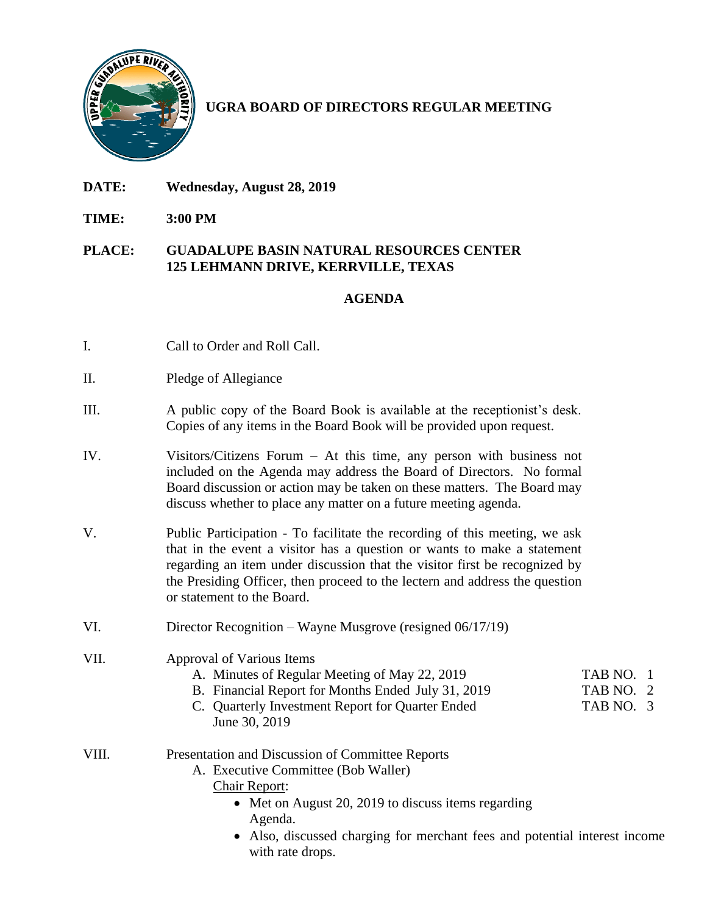

# **UGRA BOARD OF DIRECTORS REGULAR MEETING**

- **DATE: Wednesday, August 28, 2019**
- **TIME: 3:00 PM**

#### **PLACE: GUADALUPE BASIN NATURAL RESOURCES CENTER 125 LEHMANN DRIVE, KERRVILLE, TEXAS**

### **AGENDA**

- I. Call to Order and Roll Call.
- II. Pledge of Allegiance
- III. A public copy of the Board Book is available at the receptionist's desk. Copies of any items in the Board Book will be provided upon request.
- IV. Visitors/Citizens Forum At this time, any person with business not included on the Agenda may address the Board of Directors. No formal Board discussion or action may be taken on these matters. The Board may discuss whether to place any matter on a future meeting agenda.
- V. Public Participation To facilitate the recording of this meeting, we ask that in the event a visitor has a question or wants to make a statement regarding an item under discussion that the visitor first be recognized by the Presiding Officer, then proceed to the lectern and address the question or statement to the Board.
- VI. Director Recognition Wayne Musgrove (resigned 06/17/19)

## VII. Approval of Various Items

- A. Minutes of Regular Meeting of May 22, 2019 TAB NO. 1
- B. Financial Report for Months Ended July 31, 2019 TAB NO. 2
- C. Quarterly Investment Report for Quarter Ended TAB NO. 3 June 30, 2019
- VIII. Presentation and Discussion of Committee Reports
	- A. Executive Committee (Bob Waller)
		- Chair Report:
			- Met on August 20, 2019 to discuss items regarding Agenda.
			- Also, discussed charging for merchant fees and potential interest income with rate drops.
- 
- 
-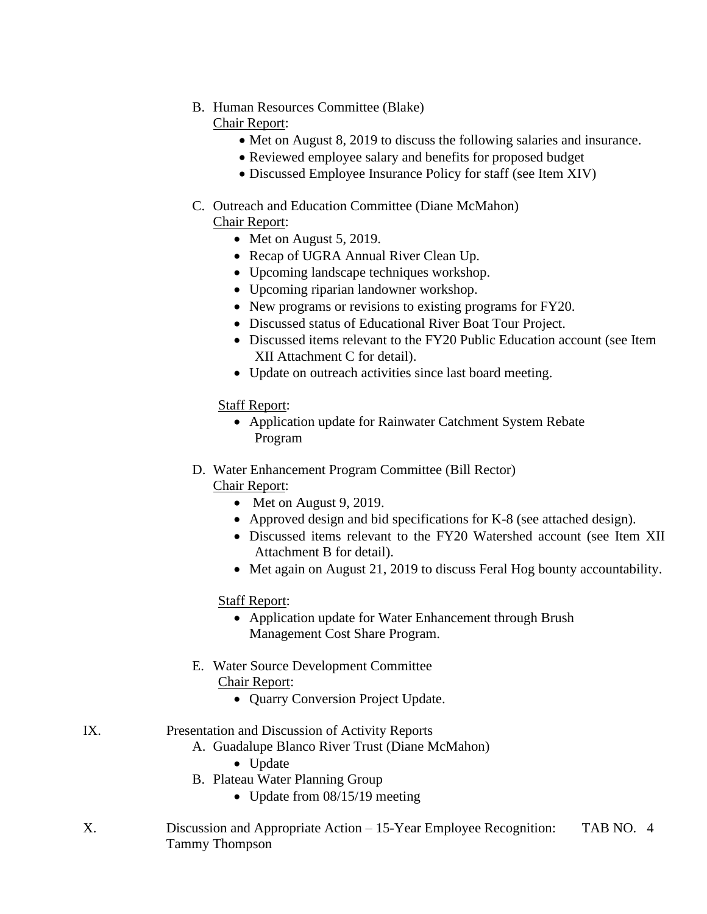# B. Human Resources Committee (Blake)

Chair Report:

- Met on August 8, 2019 to discuss the following salaries and insurance.
- Reviewed employee salary and benefits for proposed budget
- Discussed Employee Insurance Policy for staff (see Item XIV)

#### C. Outreach and Education Committee (Diane McMahon) Chair Report:

- Met on August 5, 2019.
- Recap of UGRA Annual River Clean Up.
- Upcoming landscape techniques workshop.
- Upcoming riparian landowner workshop.
- New programs or revisions to existing programs for FY20.
- Discussed status of Educational River Boat Tour Project.
- Discussed items relevant to the FY20 Public Education account (see Item XII Attachment C for detail).
- Update on outreach activities since last board meeting.

### **Staff Report:**

- Application update for Rainwater Catchment System Rebate Program
- D. Water Enhancement Program Committee (Bill Rector) Chair Report:
	- Met on August 9, 2019.
	- Approved design and bid specifications for K-8 (see attached design).
	- Discussed items relevant to the FY20 Watershed account (see Item XII) Attachment B for detail).
	- Met again on August 21, 2019 to discuss Feral Hog bounty accountability.

### Staff Report:

- Application update for Water Enhancement through Brush Management Cost Share Program.
- E. Water Source Development Committee
	- Chair Report:
		- Quarry Conversion Project Update.

### IX. Presentation and Discussion of Activity Reports

- A. Guadalupe Blanco River Trust (Diane McMahon)
	- Update
- B. Plateau Water Planning Group
	- Update from 08/15/19 meeting
- X. Discussion and Appropriate Action 15-Year Employee Recognition: TAB NO. 4 Tammy Thompson